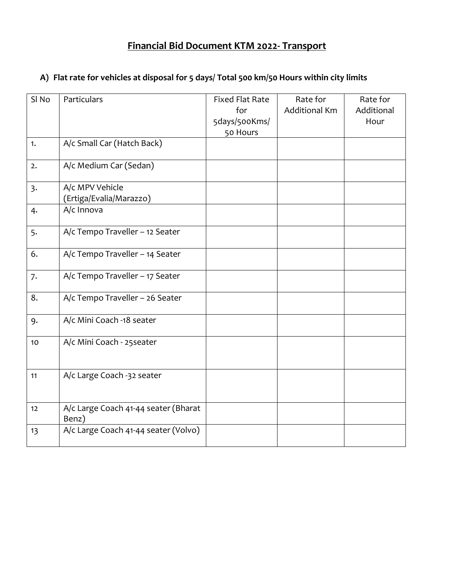#### **Financial Bid Document KTM 2022- Transport**

## SI No Particulars Fixed Flat Rate for 5days/500Kms/ 50 Hours Rate for Additional Km Rate for Additional Hour 1. A/c Small Car (Hatch Back) 2. A/c Medium Car (Sedan) 3. A/c MPV Vehicle (Ertiga/Evalia/Marazzo) 4. A/c Innova 5. A/c Tempo Traveller – 12 Seater 6. A/c Tempo Traveller – 14 Seater 7. A/c Tempo Traveller – 17 Seater 8.  $\vert$  A/c Tempo Traveller – 26 Seater 9. A/c Mini Coach -18 seater 10 A/c Mini Coach - 25seater 11 A/c Large Coach -32 seater 12 A/c Large Coach 41-44 seater (Bharat Benz) 13 | A/c Large Coach 41-44 seater (Volvo)

#### **A) Flat rate for vehicles at disposal for 5 days/ Total 500 km/50 Hours within city limits**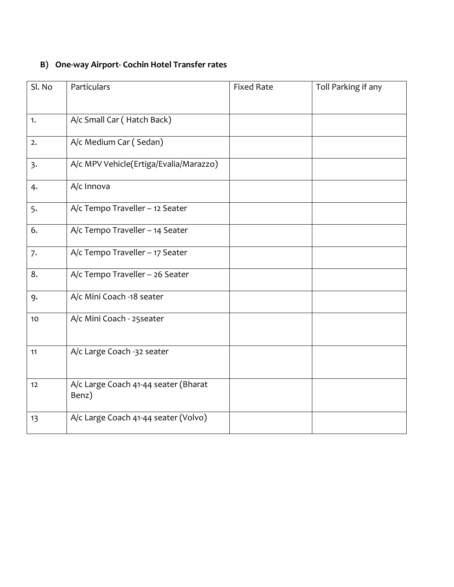## **B) One-way Airport- Cochin Hotel Transfer rates**

| Sl. No | Particulars                                   | <b>Fixed Rate</b> | Toll Parking if any |
|--------|-----------------------------------------------|-------------------|---------------------|
|        |                                               |                   |                     |
| 1.     | A/c Small Car (Hatch Back)                    |                   |                     |
| 2.     | A/c Medium Car (Sedan)                        |                   |                     |
| 3.     | A/c MPV Vehicle(Ertiga/Evalia/Marazzo)        |                   |                     |
| 4.     | A/c Innova                                    |                   |                     |
| 5.     | A/c Tempo Traveller - 12 Seater               |                   |                     |
| 6.     | A/c Tempo Traveller - 14 Seater               |                   |                     |
| 7.     | A/c Tempo Traveller - 17 Seater               |                   |                     |
| 8.     | A/c Tempo Traveller - 26 Seater               |                   |                     |
| 9.     | A/c Mini Coach -18 seater                     |                   |                     |
| 10     | A/c Mini Coach - 25 seater                    |                   |                     |
| 11     | A/c Large Coach -32 seater                    |                   |                     |
| 12     | A/c Large Coach 41-44 seater (Bharat<br>Benz) |                   |                     |
| 13     | A/c Large Coach 41-44 seater (Volvo)          |                   |                     |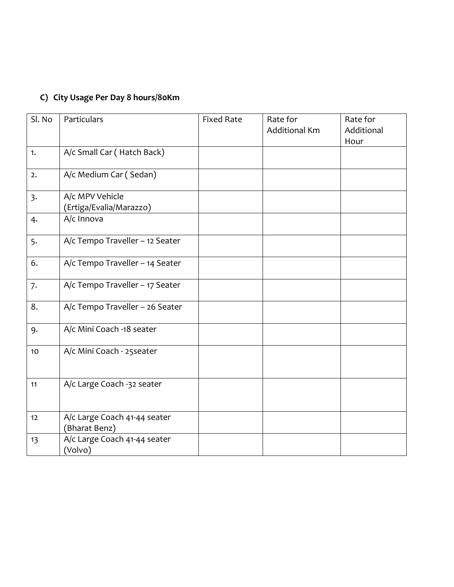## **C) City Usage Per Day 8 hours/80Km**

| Sl. No | Particulars                                   | <b>Fixed Rate</b> | Rate for<br><b>Additional Km</b> | Rate for<br>Additional<br>Hour |
|--------|-----------------------------------------------|-------------------|----------------------------------|--------------------------------|
| 1.     | A/c Small Car (Hatch Back)                    |                   |                                  |                                |
| 2.     | A/c Medium Car (Sedan)                        |                   |                                  |                                |
| 3.     | A/c MPV Vehicle<br>(Ertiga/Evalia/Marazzo)    |                   |                                  |                                |
| 4.     | A/c Innova                                    |                   |                                  |                                |
| 5.     | A/c Tempo Traveller - 12 Seater               |                   |                                  |                                |
| 6.     | A/c Tempo Traveller - 14 Seater               |                   |                                  |                                |
| 7.     | A/c Tempo Traveller - 17 Seater               |                   |                                  |                                |
| 8.     | A/c Tempo Traveller - 26 Seater               |                   |                                  |                                |
| 9.     | A/c Mini Coach -18 seater                     |                   |                                  |                                |
| 10     | A/c Mini Coach - 25 seater                    |                   |                                  |                                |
| 11     | A/c Large Coach -32 seater                    |                   |                                  |                                |
| 12     | A/c Large Coach 41-44 seater<br>(Bharat Benz) |                   |                                  |                                |
| 13     | A/c Large Coach 41-44 seater<br>(Volvo)       |                   |                                  |                                |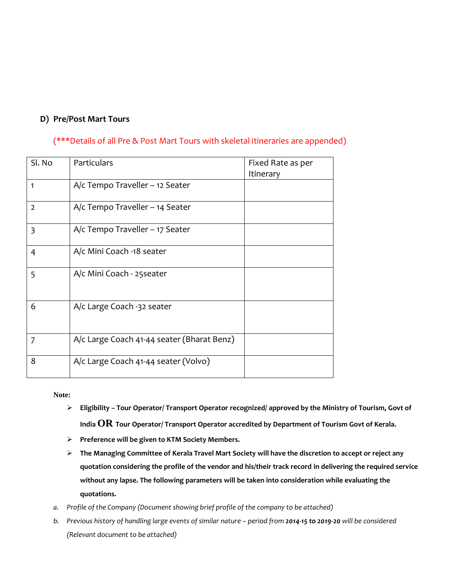#### **D) Pre/Post Mart Tours**

#### (\*\*\*Details of all Pre & Post Mart Tours with skeletal itineraries are appended)

| Sl. No         | Particulars                                | Fixed Rate as per<br>Itinerary |
|----------------|--------------------------------------------|--------------------------------|
| 1              | $A/c$ Tempo Traveller – 12 Seater          |                                |
| $\overline{2}$ | A/c Tempo Traveller – 14 Seater            |                                |
| $\overline{3}$ | $A/c$ Tempo Traveller – 17 Seater          |                                |
| $\overline{4}$ | A/c Mini Coach -18 seater                  |                                |
| 5              | A/c Mini Coach - 25 seater                 |                                |
| 6              | A/c Large Coach -32 seater                 |                                |
| 7              | A/c Large Coach 41-44 seater (Bharat Benz) |                                |
| 8              | A/c Large Coach 41-44 seater (Volvo)       |                                |

**Note:**

- **Eligibility – Tour Operator/ Transport Operator recognized/ approved by the Ministry of Tourism, Govt of India OR Tour Operator/ Transport Operator accredited by Department of Tourism Govt of Kerala.**
- **Preference will be given to KTM Society Members.**
- **The Managing Committee of Kerala Travel Mart Society will have the discretion to accept or reject any quotation considering the profile of the vendor and his/their track record in delivering the required service without any lapse. The following parameters will be taken into consideration while evaluating the quotations.**
- *a. Profile of the Company (Document showing brief profile of the company to be attached)*
- *b.* Previous history of handling large events of similar nature period from 2014-15 to 2019-20 will be considered *(Relevant document to be attached)*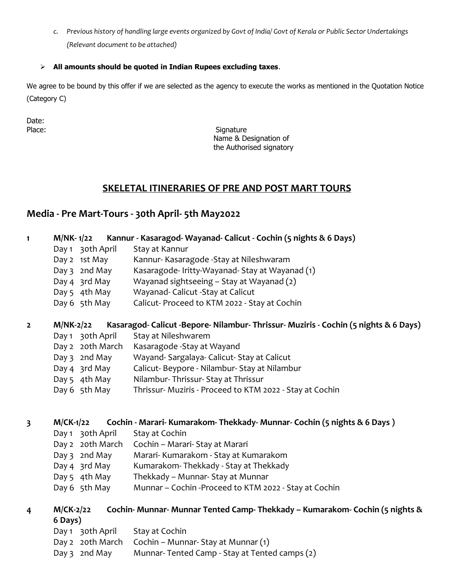*c. Previous history of handling large events organized by Govt of India/ Govt of Kerala or Public Sector Undertakings (Relevant document to be attached)*

#### **All amounts should be quoted in Indian Rupees excluding taxes**.

We agree to be bound by this offer if we are selected as the agency to execute the works as mentioned in the Quotation Notice (Category C)

Date:

Place: Signature Signature Name & Designation of the Authorised signatory

#### **SKELETAL ITINERARIES OF PRE AND POST MART TOURS**

### **Media - Pre Mart-Tours - 30th April- 5th May2022**

| $\mathbf{1}$            | M/NK-1/22        | Kannur - Kasaragod-Wayanad-Calicut - Cochin (5 nights & 6 Days)                      |
|-------------------------|------------------|--------------------------------------------------------------------------------------|
|                         | Day 1 30th April | Stay at Kannur                                                                       |
|                         | Day 2 1st May    | Kannur- Kasaragode - Stay at Nileshwaram                                             |
|                         | Day 3 2nd May    | Kasaragode-Iritty-Wayanad-Stay at Wayanad (1)                                        |
|                         | Day 4 3rd May    | Wayanad sightseeing - Stay at Wayanad (2)                                            |
|                         | Day 5 4th May    | Wayanad- Calicut - Stay at Calicut                                                   |
|                         | Day 6 5th May    | Calicut- Proceed to KTM 2022 - Stay at Cochin                                        |
| $\overline{2}$          | <b>M/NK-2/22</b> | Kasaragod- Calicut -Bepore- Nilambur- Thrissur- Muziris - Cochin (5 nights & 6 Days) |
|                         | Day 1 30th April | Stay at Nileshwarem                                                                  |
|                         | Day 2 20th March | Kasaragode - Stay at Wayand                                                          |
|                         | Day 3 2nd May    | Wayand-Sargalaya-Calicut-Stay at Calicut                                             |
|                         | Day 4 3rd May    | Calicut-Beypore - Nilambur- Stay at Nilambur                                         |
|                         | Day 5 4th May    | Nilambur-Thrissur-Stay at Thrissur                                                   |
|                         | Day 6 5th May    | Thrissur- Muziris - Proceed to KTM 2022 - Stay at Cochin                             |
|                         |                  |                                                                                      |
| $\overline{\mathbf{3}}$ | $M$ /CK-1/22     | Cochin - Marari- Kumarakom- Thekkady- Munnar- Cochin (5 nights & 6 Days)             |
|                         | Day 1 30th April | Stay at Cochin                                                                       |
|                         | Day 2 20th March | Cochin - Marari- Stay at Marari                                                      |
|                         | Day 3 2nd May    | Marari- Kumarakom - Stay at Kumarakom                                                |
|                         | Day 4 3rd May    | Kumarakom-Thekkady - Stay at Thekkady                                                |
|                         | Day 5 4th May    | Thekkady - Munnar- Stay at Munnar                                                    |
|                         | Day 6 5th May    | Munnar - Cochin - Proceed to KTM 2022 - Stay at Cochin                               |
| 4                       | $M$ /CK-2/22     | Cochin-Munnar-Munnar Tented Camp-Thekkady - Kumarakom-Cochin (5 nights &             |
|                         | 6 Days)          |                                                                                      |
|                         | Day 1 30th April | Stay at Cochin                                                                       |
|                         | Day 2 20th March | Cochin - Munnar- Stay at Munnar (1)                                                  |
|                         | Day 3 2nd May    | Munnar-Tented Camp - Stay at Tented camps (2)                                        |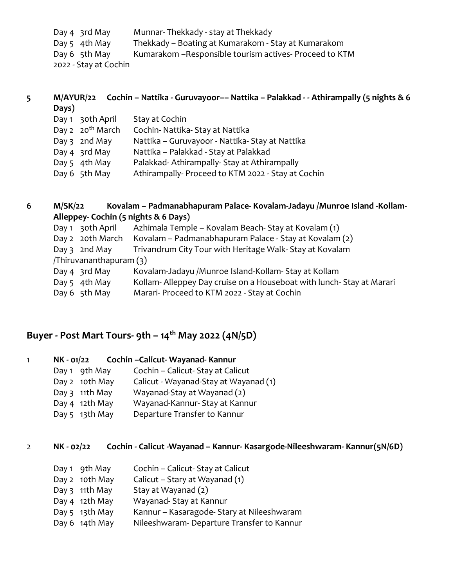| Day 4 3rd May         | Munnar-Thekkady - stay at Thekkady                       |
|-----------------------|----------------------------------------------------------|
| Day 5 $4th$ May       | Thekkady – Boating at Kumarakom - Stay at Kumarakom      |
| Day 6 5th May         | Kumarakom - Responsible tourism actives - Proceed to KTM |
| 2022 - Stay at Cochin |                                                          |

| 5 | Days)                        | M/AYUR/22 Cochin - Nattika - Guruvayoor-- Nattika - Palakkad - - Athirampally (5 nights & 6 |
|---|------------------------------|---------------------------------------------------------------------------------------------|
|   | 30th April<br>Day 1          | Stay at Cochin                                                                              |
|   | Day 2 20 <sup>th</sup> March | Cochin- Nattika- Stay at Nattika                                                            |
|   | Day $3$ 2nd May              | Nattika - Guruvayoor - Nattika- Stay at Nattika                                             |
|   | Day 4 3rd May                | Nattika - Palakkad - Stay at Palakkad                                                       |
|   | Day 5 4th May                | Palakkad-Athirampally-Stay at Athirampally                                                  |
|   | Day 6 5th May                | Athirampally-Proceed to KTM 2022 - Stay at Cochin                                           |
|   |                              |                                                                                             |

**6 M/SK/22 Kovalam – Padmanabhapuram Palace- Kovalam-Jadayu /Munroe Island -Kollam-Alleppey- Cochin (5 nights & 6 Days)** Day 1 30th April Azhimala Temple – Kovalam Beach- Stay at Kovalam (1) Day 2 20th March Kovalam – Padmanabhapuram Palace - Stay at Kovalam (2) Day 3 2nd May Trivandrum City Tour with Heritage Walk-Stay at Kovalam /Thiruvananthapuram (3) Day 4 3rd May Kovalam-Jadayu /Munroe Island-Kollam-Stay at Kollam Day 5 4th May Kollam- Alleppey Day cruise on a Houseboat with lunch- Stay at Marari Day 6 5th May Marari- Proceed to KTM 2022 - Stay at Cochin

## **Buyer - Post Mart Tours- 9th – 14th May 2022 (4N/5D)**

| 1 | NK - 01/22 |                | Cochin-Calicut-Wayanad-Kannur         |
|---|------------|----------------|---------------------------------------|
|   |            | Day 1 9th May  | Cochin - Calicut - Stay at Calicut    |
|   |            | Day 2 10th May | Calicut - Wayanad-Stay at Wayanad (1) |
|   |            | Day 3 11th May | Wayanad-Stay at Wayanad (2)           |
|   |            | Day 4 12th May | Wayanad-Kannur- Stay at Kannur        |
|   |            | Day 5 13th May | Departure Transfer to Kannur          |
|   |            |                |                                       |

2 **NK - 02/22 Cochin - Calicut -Wayanad – Kannur- Kasargode-Nileeshwaram- Kannur(5N/6D)**

| Day 1 9th May  | Cochin - Calicut - Stay at Calicut         |
|----------------|--------------------------------------------|
| Day 2 10th May | Calicut – Stary at Wayanad (1)             |
| Day 3 11th May | Stay at Wayanad (2)                        |
| Day 4 12th May | Wayanad-Stay at Kannur                     |
| Day 5 13th May | Kannur – Kasaragode- Stary at Nileeshwaram |
| Day 6 14th May | Nileeshwaram- Departure Transfer to Kannur |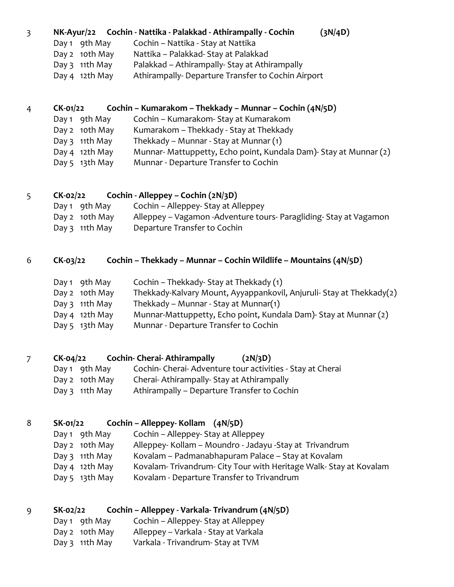#### 3 **NK-Ayur/22 Cochin - Nattika - Palakkad - Athirampally - Cochin (3N/4D)**

| Day 1 9th May    | Cochin - Nattika - Stay at Nattika                |
|------------------|---------------------------------------------------|
| Day 2 10th May   | Nattika - Palakkad- Stay at Palakkad              |
| Day $3$ 11th May | Palakkad – Athirampally- Stay at Athirampally     |
| Day 4 12th May   | Athirampally-Departure Transfer to Cochin Airport |

### 4 **CK-01/22 Cochin – Kumarakom – Thekkady – Munnar – Cochin (4N/5D)**

Day 1 9th May Cochin – Kumarakom- Stay at Kumarakom Day 2 10th May Kumarakom – Thekkady - Stay at Thekkady Day 3 11th May Thekkady – Munnar - Stay at Munnar (1) Day 4 12th May Munnar- Mattuppetty, Echo point, Kundala Dam)- Stay at Munnar (2) Day 5 13th May Munnar - Departure Transfer to Cochin

## 5 **CK-02/22 Cochin - Alleppey – Cochin (2N/3D)**

| Day 1 9th May    | Cochin – Alleppey- Stay at Alleppey                                  |
|------------------|----------------------------------------------------------------------|
| Day 2 10th May   | Alleppey – Vagamon - Adventure tours - Paragliding - Stay at Vagamon |
| Day $3$ 11th May | Departure Transfer to Cochin                                         |

#### 6 **CK-03/22 Cochin – Thekkady – Munnar – Cochin Wildlife – Mountains (4N/5D)**

| Day 1 9th May    | Cochin - Thekkady- Stay at Thekkady (1)                              |
|------------------|----------------------------------------------------------------------|
| Day 2 10th May   | Thekkady-Kalvary Mount, Ayyappankovil, Anjuruli- Stay at Thekkady(2) |
| Day $3$ 11th May | Thekkady – Munnar - Stay at Munnar(1)                                |
| Day 4 12th May   | Munnar-Mattuppetty, Echo point, Kundala Dam)- Stay at Munnar (2)     |
| Day 5 13th May   | Munnar - Departure Transfer to Cochin                                |

## 7 **CK-04/22 Cochin- Cherai- Athirampally (2N/3D)**

| Cochin- Cherai- Adventure tour activities - Stay at Cherai<br>Day 1 9th May |
|-----------------------------------------------------------------------------|
|-----------------------------------------------------------------------------|

- Day 2 10th May Cherai- Athirampally- Stay at Athirampally
- Day 3 11th May Athirampally Departure Transfer to Cochin

## 8 **SK-01/22 Cochin – Alleppey- Kollam (4N/5D)**

| Day 1 9th May     | Cochin – Alleppey- Stay at Alleppey                             |
|-------------------|-----------------------------------------------------------------|
| Day 2 10th May    | Alleppey- Kollam - Moundro - Jadayu -Stay at Trivandrum         |
| Day $3$ 11th May  | Kovalam – Padmanabhapuram Palace – Stay at Kovalam              |
| Day 4 12th May    | Kovalam-Trivandrum-City Tour with Heritage Walk-Stay at Kovalam |
| Day 5 $13$ th May | Kovalam - Departure Transfer to Trivandrum                      |
|                   |                                                                 |

#### 9 **SK-02/22 Cochin – Alleppey - Varkala- Trivandrum (4N/5D)** Day 1 9th May Cochin – Alleppey- Stay at Alleppey

| Day i Yuliwiay   | COCHILL – Alleppey- Stay at Alleppey |
|------------------|--------------------------------------|
| Day 2 10th May   | Alleppey – Varkala - Stay at Varkala |
| Day $3$ 11th May | Varkala - Trivandrum- Stay at TVM    |